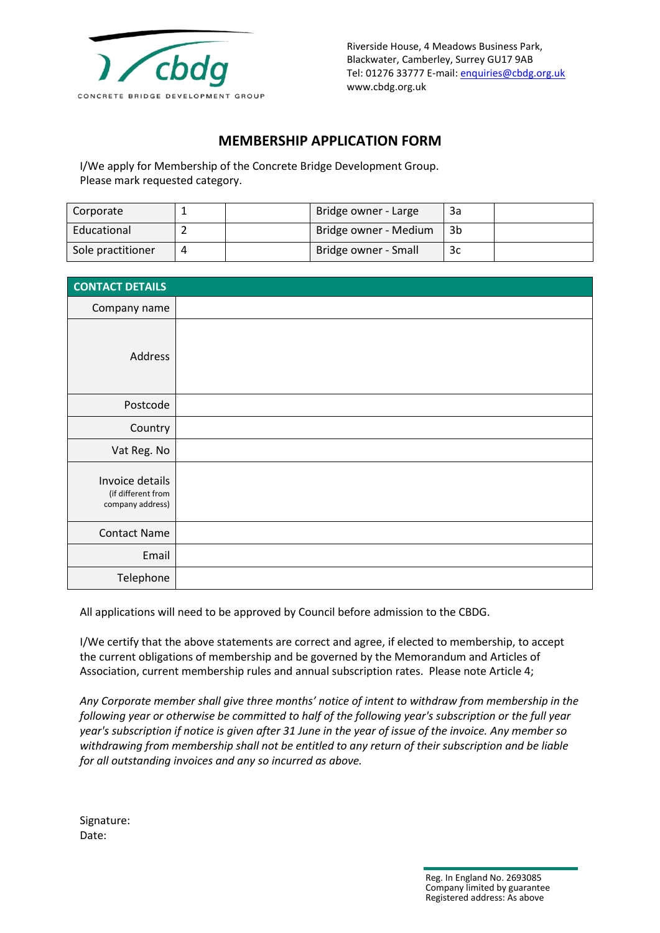

Riverside House, 4 Meadows Business Park, Blackwater, Camberley, Surrey GU17 9AB Tel: 01276 33777 E-mail[: enquiries@cbdg.org.uk](mailto:enquiries@cbdg.org.uk) www.cbdg.org.uk

## **MEMBERSHIP APPLICATION FORM**

I/We apply for Membership of the Concrete Bridge Development Group. Please mark requested category.

| Corporate         |  | Bridge owner - Large  | За |  |
|-------------------|--|-----------------------|----|--|
| Educational       |  | Bridge owner - Medium | 3b |  |
| Sole practitioner |  | Bridge owner - Small  | Зс |  |

| <b>CONTACT DETAILS</b>                                    |  |
|-----------------------------------------------------------|--|
| Company name                                              |  |
| Address                                                   |  |
| Postcode                                                  |  |
| Country                                                   |  |
| Vat Reg. No                                               |  |
| Invoice details<br>(if different from<br>company address) |  |
| <b>Contact Name</b>                                       |  |
| Email                                                     |  |
| Telephone                                                 |  |

All applications will need to be approved by Council before admission to the CBDG.

I/We certify that the above statements are correct and agree, if elected to membership, to accept the current obligations of membership and be governed by the Memorandum and Articles of Association, current membership rules and annual subscription rates. Please note Article 4;

*Any Corporate member shall give three months' notice of intent to withdraw from membership in the following year or otherwise be committed to half of the following year's subscription or the full year year's subscription if notice is given after 31 June in the year of issue of the invoice. Any member so withdrawing from membership shall not be entitled to any return of their subscription and be liable for all outstanding invoices and any so incurred as above.*

| Signature: |
|------------|
| Date:      |